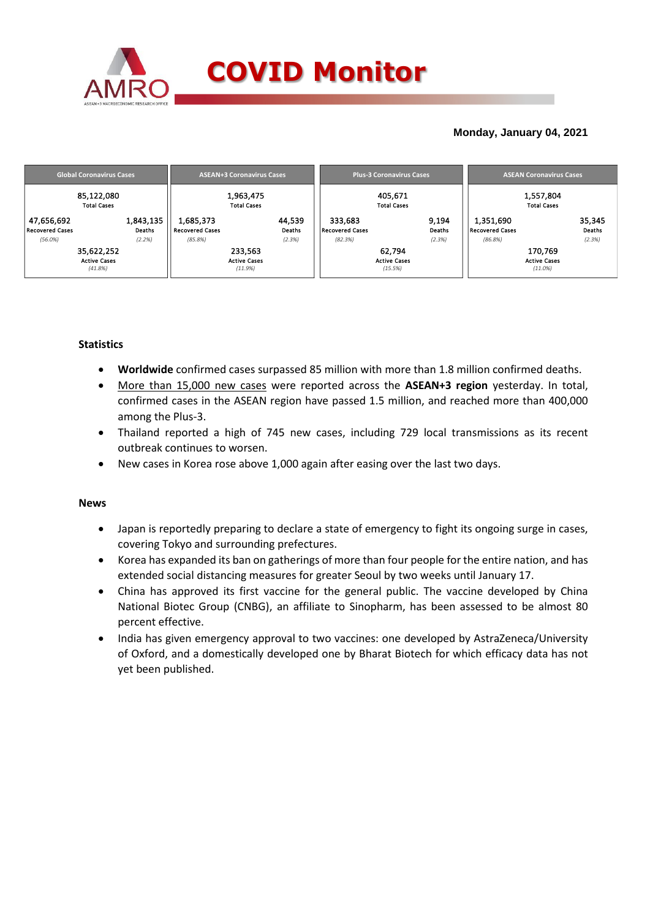

## **Monday, January 04, 2021**

| <b>Global Coronavirus Cases</b> | <b>ASEAN+3 Coronavirus Cases</b> | <b>Plus-3 Coronavirus Cases</b> | <b>ASEAN Coronavirus Cases</b> |  |  |
|---------------------------------|----------------------------------|---------------------------------|--------------------------------|--|--|
| 85,122,080                      | 1,963,475                        | 405,671                         | 1,557,804                      |  |  |
| <b>Total Cases</b>              | <b>Total Cases</b>               | <b>Total Cases</b>              | <b>Total Cases</b>             |  |  |
| 1,843,135                       | 44,539                           | 333,683                         | 1,351,690                      |  |  |
| 47,656,692                      | 1,685,373                        | 9,194                           | 35,345                         |  |  |
| <b>Recovered Cases</b>          | <b>Deaths</b>                    | <b>Recovered Cases</b>          | Deaths                         |  |  |
| Deaths                          | <b>Recovered Cases</b>           | Deaths                          | Recovered Cases                |  |  |
| (2.2%)                          | (2.3%)                           | (82.3%)                         | (2.3%)                         |  |  |
| $(56.0\%)$                      | (85.8%)                          | (2.3%)                          | (86.8%)                        |  |  |
| 35,622,252                      | 233,563                          | 62.794                          | 170,769                        |  |  |
| <b>Active Cases</b>             | <b>Active Cases</b>              | <b>Active Cases</b>             | <b>Active Cases</b>            |  |  |
| (41.8%)                         | (11.9%)                          | (15.5%)                         | $(11.0\%)$                     |  |  |

## **Statistics**

- **Worldwide** confirmed cases surpassed 85 million with more than 1.8 million confirmed deaths.
- More than 15,000 new cases were reported across the **ASEAN+3 region** yesterday. In total, confirmed cases in the ASEAN region have passed 1.5 million, and reached more than 400,000 among the Plus-3.
- Thailand reported a high of 745 new cases, including 729 local transmissions as its recent outbreak continues to worsen.
- New cases in Korea rose above 1,000 again after easing over the last two days.

### **News**

- Japan is reportedly preparing to declare a state of emergency to fight its ongoing surge in cases, covering Tokyo and surrounding prefectures.
- Korea has expanded its ban on gatherings of more than four people for the entire nation, and has extended social distancing measures for greater Seoul by two weeks until January 17.
- China has approved its first vaccine for the general public. The vaccine developed by China National Biotec Group (CNBG), an affiliate to Sinopharm, has been assessed to be almost 80 percent effective.
- India has given emergency approval to two vaccines: one developed by AstraZeneca/University of Oxford, and a domestically developed one by Bharat Biotech for which efficacy data has not yet been published.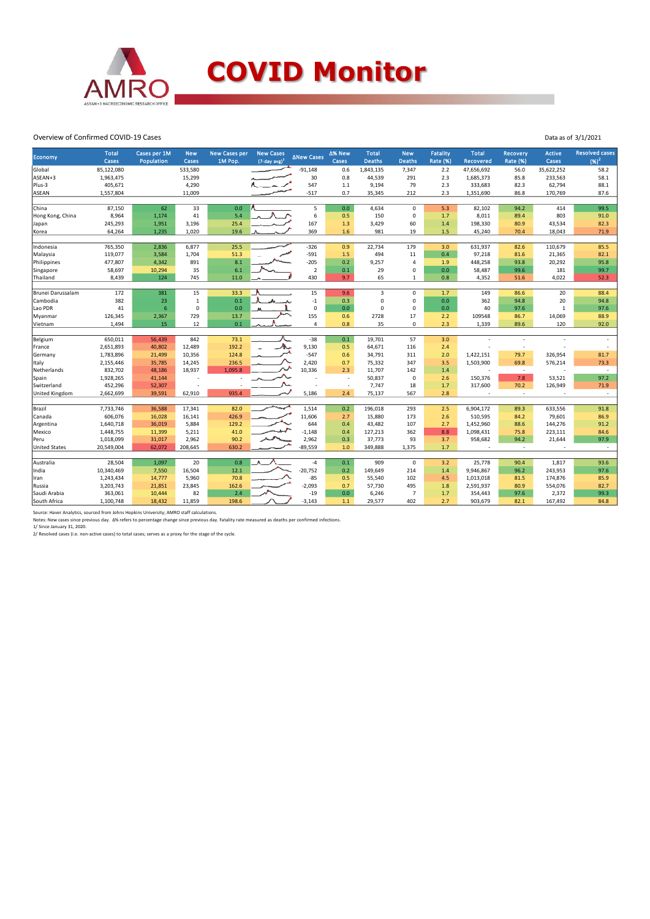

#### Overview of Confirmed COVID-19 Cases

| Economy              | <b>Total</b><br>Cases | Cases per 1M<br>Population | <b>New</b><br>Cases | <b>New Cases per</b><br>1M Pop. | <b>New Cases</b><br>$(7$ -day avg) <sup>1</sup> | <b>ANew Cases</b> | ∆% New<br>Cases          | <b>Total</b><br><b>Deaths</b> | <b>New</b><br><b>Deaths</b> | <b>Fatality</b><br><b>Rate (%)</b> | <b>Total</b><br>Recovered | Recovery<br><b>Rate (%)</b> | <b>Active</b><br>Cases | <b>Resolved cases</b><br>$(96)^2$ |
|----------------------|-----------------------|----------------------------|---------------------|---------------------------------|-------------------------------------------------|-------------------|--------------------------|-------------------------------|-----------------------------|------------------------------------|---------------------------|-----------------------------|------------------------|-----------------------------------|
| Global               | 85,122,080            |                            | 533,580             |                                 |                                                 | $-91,148$         | 0.6                      | 1,843,135                     | 7,347                       | 2.2                                | 47,656,692                | 56.0                        | 35,622,252             | 58.2                              |
| ASEAN+3              | 1,963,475             |                            | 15,299              |                                 |                                                 | 30                | 0.8                      | 44,539                        | 291                         | 2.3                                | 1,685,373                 | 85.8                        | 233,563                | 58.1                              |
| Plus-3               | 405,671               |                            | 4,290               |                                 |                                                 | 547               | $1.1$                    | 9,194                         | 79                          | 2.3                                | 333,683                   | 82.3                        | 62,794                 | 88.1                              |
| <b>ASEAN</b>         | 1,557,804             |                            | 11,009              |                                 |                                                 | $-517$            | 0.7                      | 35,345                        | 212                         | 2.3                                | 1,351,690                 | 86.8                        | 170,769                | 87.6                              |
|                      |                       |                            |                     |                                 |                                                 |                   |                          |                               |                             |                                    |                           |                             |                        |                                   |
| China                | 87,150                | 62                         | 33                  | 0.0                             |                                                 | 5                 | 0.0                      | 4,634                         | $\mathbf 0$                 | 5.3                                | 82,102                    | 94.2                        | 414                    | 99.5                              |
| Hong Kong, China     | 8,964                 | 1,174                      | 41                  | 5.4                             |                                                 | 6                 | 0.5                      | 150                           | $\mathbf 0$                 | 1.7                                | 8,011                     | 89.4                        | 803                    | 91.0                              |
| Japan                | 245,293               | 1,951                      | 3,196               | 25.4                            |                                                 | 167               | 1.3                      | 3,429                         | 60                          | 1.4                                | 198,330                   | 80.9                        | 43,534                 | 82.3                              |
| Korea                | 64,264                | 1,235                      | 1,020               | 19.6                            |                                                 | 369               | 1.6                      | 981                           | 19                          | 1.5                                | 45,240                    | 70.4                        | 18,043                 | 71.9                              |
| Indonesia            | 765,350               | 2,836                      | 6,877               | 25.5                            |                                                 | $-326$            | 0.9                      | 22,734                        | 179                         | 3.0                                | 631,937                   | 82.6                        | 110,679                | 85.5                              |
| Malaysia             | 119,077               | 3,584                      | 1,704               | 51.3                            |                                                 | $-591$            | 1.5                      | 494                           | 11                          | 0.4                                | 97,218                    | 81.6                        | 21,365                 | 82.1                              |
| Philippines          | 477,807               | 4,342                      | 891                 | 8.1                             |                                                 | $-205$            | 0.2                      | 9,257                         | $\overline{4}$              | 1.9                                | 448,258                   | 93.8                        | 20,292                 | 95.8                              |
| Singapore            | 58,697                | 10,294                     | 35                  | 6.1                             |                                                 | $\overline{2}$    | 0.1                      | 29                            | $\pmb{0}$                   | 0.0                                | 58,487                    | 99.6                        | 181                    | 99.7                              |
| Thailand             | 8,439                 | 124                        | 745                 | 11.0                            |                                                 | 430               | 9.7                      | 65                            | 1                           | 0.8                                | 4,352                     | 51.6                        | 4,022                  | 52.3                              |
|                      |                       |                            |                     |                                 |                                                 |                   |                          |                               |                             |                                    |                           |                             |                        |                                   |
| Brunei Darussalam    | 172                   | 381                        | 15                  | 33.3                            |                                                 | 15                | 9.6                      | 3                             | $\mathbf 0$                 | 1.7                                | 149                       | 86.6                        | 20                     | 88.4                              |
| Cambodia             | 382                   | 23                         | $\mathbf 1$         | 0.1                             |                                                 | $-1$              | 0.3                      | $\mathbf 0$                   | $\mathsf 0$                 | 0.0                                | 362                       | 94.8                        | 20                     | 94.8                              |
| Lao PDR              | 41                    | $6\phantom{1}6$            | $\mathbf 0$         | 0.0                             |                                                 | $\mathbf 0$       | 0.0                      | $\mathbf 0$                   | $\mathbf 0$                 | 0.0                                | 40                        | 97.6                        | $\mathbf{1}$           | 97.6                              |
| Myanmar              | 126,345               | 2,367                      | 729                 | 13.7                            |                                                 | 155               | 0.6                      | 2728                          | 17                          | 2.2                                | 109548                    | 86.7                        | 14,069                 | 88.9                              |
| Vietnam              | 1,494                 | 15                         | 12                  | 0.1                             |                                                 | 4                 | 0.8                      | 35                            | $\mathbf 0$                 | 2.3                                | 1,339                     | 89.6                        | 120                    | 92.0                              |
| Belgium              | 650,011               | 56,439                     | 842                 | 73.1                            |                                                 | $-38$             | 0.1                      | 19,701                        | 57                          | 3.0                                |                           |                             |                        |                                   |
| France               | 2,651,893             | 40,802                     | 12,489              | 192.2                           |                                                 | 9,130             | 0.5                      | 64,671                        | 116                         | 2.4                                |                           | ÷                           |                        |                                   |
| Germany              | 1,783,896             | 21,499                     | 10,356              | 124.8                           |                                                 | $-547$            | 0.6                      | 34,791                        | 311                         | 2.0                                | 1,422,151                 | 79.7                        | 326,954                | 81.7                              |
| Italy                | 2,155,446             | 35,785                     | 14,245              | 236.5                           |                                                 | 2,420             | 0.7                      | 75,332                        | 347                         | 3.5                                | 1,503,900                 | 69.8                        | 576,214                | 73.3                              |
| Netherlands          | 832,702               | 48,186                     | 18,937              | 1.095.8                         |                                                 | 10,336            | 2.3                      | 11,707                        | 142                         | 1.4                                |                           | $\sim$                      |                        | ٠                                 |
| Spain                | 1,928,265             | 41,144                     |                     |                                 |                                                 |                   | ÷                        | 50,837                        | $\mathbf 0$                 | 2.6                                | 150,376                   | 7.8                         | 53,521                 | 97.2                              |
| Switzerland          | 452,296               | 52,307                     |                     |                                 |                                                 |                   | $\overline{\phantom{a}}$ | 7,747                         | 18                          | 1.7                                | 317,600                   | 70.2                        | 126,949                | 71.9                              |
| United Kingdom       | 2,662,699             | 39,591                     | 62,910              | 935.4                           |                                                 | 5,186             | 2.4                      | 75,137                        | 567                         | 2.8                                | ٠                         | $\sim$                      |                        | $\overline{\phantom{a}}$          |
|                      |                       |                            |                     |                                 |                                                 |                   |                          |                               |                             |                                    |                           |                             |                        |                                   |
| Brazil               | 7,733,746             | 36,588                     | 17,341              | 82.0                            |                                                 | 1,514             | 0.2                      | 196,018                       | 293                         | 2.5                                | 6,904,172                 | 89.3                        | 633,556                | 91.8                              |
| Canada               | 606,076               | 16,028                     | 16,141              | 426.9                           |                                                 | 11,606            | 2.7                      | 15,880                        | 173                         | 2.6                                | 510,595                   | 84.2                        | 79,601                 | 86.9                              |
| Argentina            | 1,640,718             | 36,019                     | 5,884               | 129.2                           |                                                 | 644               | 0.4                      | 43,482                        | 107                         | 2.7                                | 1,452,960                 | 88.6                        | 144,276                | 91.2                              |
| Mexico               | 1,448,755             | 11,399                     | 5,211               | 41.0                            |                                                 | $-1,148$          | 0.4                      | 127,213                       | 362                         | 8.8                                | 1,098,431                 | 75.8                        | 223,111                | 84.6                              |
| Peru                 | 1,018,099             | 31,017                     | 2,962               | 90.2                            |                                                 | 2,962             | 0.3                      | 37,773                        | 93                          | 3.7                                | 958,682                   | 94.2                        | 21,644                 | 97.9                              |
| <b>United States</b> | 20,549,004            | 62,072                     | 208,645             | 630.2                           |                                                 | $-89,559$         | 1.0                      | 349,888                       | 1,375                       | 1.7                                | $\overline{a}$            | $\sim$                      |                        | $\overline{a}$                    |
|                      |                       |                            |                     |                                 |                                                 |                   |                          |                               |                             |                                    |                           |                             |                        |                                   |
| Australia            | 28,504                | 1,097                      | 20                  | 0.8                             |                                                 | $-4$              | 0.1                      | 909                           | $\mathsf 0$                 | 3.2                                | 25,778                    | 90.4                        | 1,817                  | 93.6                              |
| India                | 10,340,469            | 7,550                      | 16,504              | 12.1                            |                                                 | $-20,752$         | 0.2                      | 149,649                       | 214                         | 1.4                                | 9,946,867                 | 96.2                        | 243,953                | 97.6                              |
| Iran                 | 1,243,434             | 14,777                     | 5,960               | 70.8                            |                                                 | $-85$             | 0.5                      | 55,540                        | 102                         | 4.5                                | 1,013,018                 | 81.5                        | 174,876                | 85.9                              |
| Russia               | 3,203,743             | 21,851                     | 23,845              | 162.6                           |                                                 | $-2,093$          | 0.7                      | 57,730                        | 495                         | 1.8                                | 2,591,937                 | 80.9                        | 554,076                | 82.7                              |
| Saudi Arabia         | 363,061               | 10,444                     | 82                  | 2.4                             |                                                 | $-19$             | 0.0                      | 6,246                         | $\overline{7}$              | 1.7                                | 354,443                   | 97.6                        | 2,372                  | 99.3                              |
| South Africa         | 1,100,748             | 18,432                     | 11,859              | 198.6                           |                                                 | $-3,143$          | $1.1$                    | 29,577                        | 402                         | 2.7                                | 903,679                   | 82.1                        | 167,492                | 84.8                              |

Data as of 3/1/2021

Source: Haver Analytics, sourced from Johns Hopkins University; AMRO staff calculations.<br>Notes: New cases since previous day. Δ% refers to percentage change since previous day. Fatality rate measured as deaths per confirm